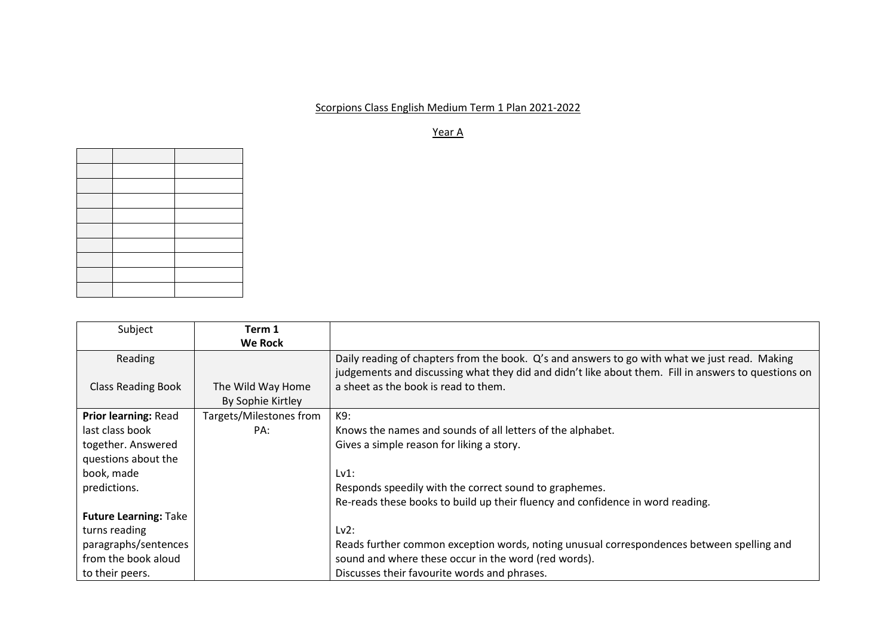## Scorpions Class English Medium Term 1 Plan 2021-2022

Year A

| Subject                      | Term 1                  |                                                                                                     |
|------------------------------|-------------------------|-----------------------------------------------------------------------------------------------------|
|                              | <b>We Rock</b>          |                                                                                                     |
| Reading                      |                         | Daily reading of chapters from the book. Q's and answers to go with what we just read. Making       |
|                              |                         | judgements and discussing what they did and didn't like about them. Fill in answers to questions on |
| <b>Class Reading Book</b>    | The Wild Way Home       | a sheet as the book is read to them.                                                                |
|                              | By Sophie Kirtley       |                                                                                                     |
| Prior learning: Read         | Targets/Milestones from | K9:                                                                                                 |
| last class book              | PA:                     | Knows the names and sounds of all letters of the alphabet.                                          |
| together. Answered           |                         | Gives a simple reason for liking a story.                                                           |
| questions about the          |                         |                                                                                                     |
| book, made                   |                         | Lv1:                                                                                                |
| predictions.                 |                         | Responds speedily with the correct sound to graphemes.                                              |
|                              |                         | Re-reads these books to build up their fluency and confidence in word reading.                      |
| <b>Future Learning: Take</b> |                         |                                                                                                     |
| turns reading                |                         | Lv2:                                                                                                |
| paragraphs/sentences         |                         | Reads further common exception words, noting unusual correspondences between spelling and           |
| from the book aloud          |                         | sound and where these occur in the word (red words).                                                |
| to their peers.              |                         | Discusses their favourite words and phrases.                                                        |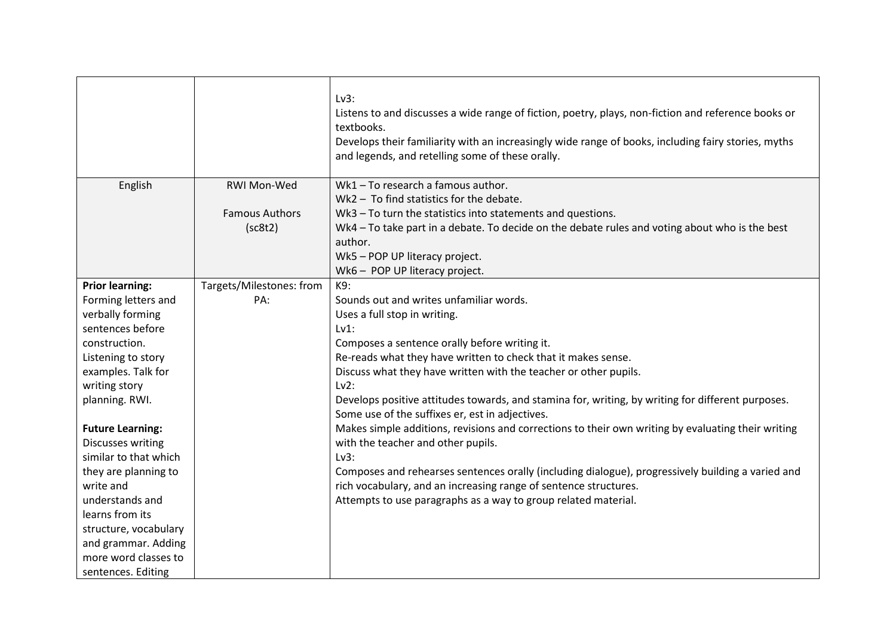|                         |                          | Lv3:<br>Listens to and discusses a wide range of fiction, poetry, plays, non-fiction and reference books or<br>textbooks.<br>Develops their familiarity with an increasingly wide range of books, including fairy stories, myths<br>and legends, and retelling some of these orally. |
|-------------------------|--------------------------|--------------------------------------------------------------------------------------------------------------------------------------------------------------------------------------------------------------------------------------------------------------------------------------|
| English                 | RWI Mon-Wed              | Wk1 - To research a famous author.                                                                                                                                                                                                                                                   |
|                         |                          | Wk2 - To find statistics for the debate.                                                                                                                                                                                                                                             |
|                         | <b>Famous Authors</b>    | Wk3 - To turn the statistics into statements and questions.                                                                                                                                                                                                                          |
|                         | (sc8t2)                  | Wk4 - To take part in a debate. To decide on the debate rules and voting about who is the best                                                                                                                                                                                       |
|                         |                          | author.                                                                                                                                                                                                                                                                              |
|                         |                          | Wk5 - POP UP literacy project.                                                                                                                                                                                                                                                       |
|                         |                          | Wk6 - POP UP literacy project.                                                                                                                                                                                                                                                       |
| <b>Prior learning:</b>  | Targets/Milestones: from | K9:                                                                                                                                                                                                                                                                                  |
| Forming letters and     | PA:                      | Sounds out and writes unfamiliar words.                                                                                                                                                                                                                                              |
| verbally forming        |                          | Uses a full stop in writing.                                                                                                                                                                                                                                                         |
| sentences before        |                          | Lv1:                                                                                                                                                                                                                                                                                 |
| construction.           |                          | Composes a sentence orally before writing it.                                                                                                                                                                                                                                        |
| Listening to story      |                          | Re-reads what they have written to check that it makes sense.                                                                                                                                                                                                                        |
| examples. Talk for      |                          | Discuss what they have written with the teacher or other pupils.                                                                                                                                                                                                                     |
| writing story           |                          | Lv2:                                                                                                                                                                                                                                                                                 |
| planning. RWI.          |                          | Develops positive attitudes towards, and stamina for, writing, by writing for different purposes.                                                                                                                                                                                    |
|                         |                          | Some use of the suffixes er, est in adjectives.                                                                                                                                                                                                                                      |
| <b>Future Learning:</b> |                          | Makes simple additions, revisions and corrections to their own writing by evaluating their writing                                                                                                                                                                                   |
| Discusses writing       |                          | with the teacher and other pupils.                                                                                                                                                                                                                                                   |
| similar to that which   |                          | $Lv3$ :                                                                                                                                                                                                                                                                              |
| they are planning to    |                          | Composes and rehearses sentences orally (including dialogue), progressively building a varied and                                                                                                                                                                                    |
| write and               |                          | rich vocabulary, and an increasing range of sentence structures.                                                                                                                                                                                                                     |
| understands and         |                          | Attempts to use paragraphs as a way to group related material.                                                                                                                                                                                                                       |
| learns from its         |                          |                                                                                                                                                                                                                                                                                      |
| structure, vocabulary   |                          |                                                                                                                                                                                                                                                                                      |
| and grammar. Adding     |                          |                                                                                                                                                                                                                                                                                      |
| more word classes to    |                          |                                                                                                                                                                                                                                                                                      |
| sentences. Editing      |                          |                                                                                                                                                                                                                                                                                      |